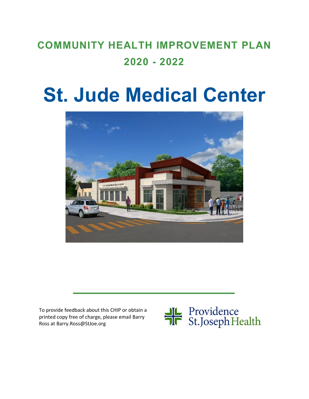## **COMMUNITY HEALTH IMPROVEMENT PLAN 2020 - 2022**

# **St. Jude Medical Center**



To provide feedback about this CHIP or obtain a printed copy free of charge, please email Barry Ross at Barry.Ross@StJoe.org

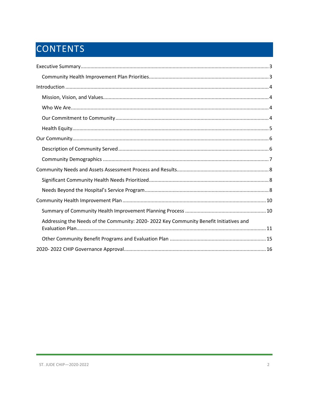## CONTENTS

| Addressing the Needs of the Community: 2020-2022 Key Community Benefit Initiatives and |
|----------------------------------------------------------------------------------------|
|                                                                                        |
|                                                                                        |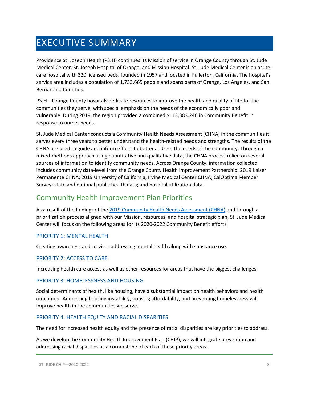## <span id="page-2-0"></span>EXECUTIVE SUMMARY

Providence St. Joseph Health (PSJH) continues its Mission of service in Orange County through St. Jude Medical Center, St. Joseph Hospital of Orange, and Mission Hospital. St. Jude Medical Center is an acutecare hospital with 320 licensed beds, founded in 1957 and located in Fullerton, California. The hospital's service area includes a population of 1,733,665 people and spans parts of Orange, Los Angeles, and San Bernardino Counties.

PSJH—Orange County hospitals dedicate resources to improve the health and quality of life for the communities they serve, with special emphasis on the needs of the economically poor and vulnerable. During 2019, the region provided a combined \$113,383,246 in Community Benefit in response to unmet needs.

St. Jude Medical Center conducts a Community Health Needs Assessment (CHNA) in the communities it serves every three years to better understand the health-related needs and strengths. The results of the CHNA are used to guide and inform efforts to better address the needs of the community. Through a mixed-methods approach using quantitative and qualitative data, the CHNA process relied on several sources of information to identify community needs. Across Orange County, information collected includes community data-level from the Orange County Health Improvement Partnership; 2019 Kaiser Permanente CHNA; 2019 University of California, Irvine Medical Center CHNA; CalOptima Member Survey; state and national public health data; and hospital utilization data.

## <span id="page-2-1"></span>Community Health Improvement Plan Priorities

As a result of the findings of the [2019 Community Health Needs Assessment \(CHNA\)](https://www.providence.org/-/media/Project/psjh/providence/socal/Files/about/community-benefit/reports/2019chna-orangecounty.pdf?la=en&hash=1EFA38ECAF5E0C2A9CFBA76694525C43) and through a prioritization process aligned with our Mission, resources, and hospital strategic plan, St. Jude Medical Center will focus on the following areas for its 2020-2022 Community Benefit efforts:

#### PRIORITY 1: MENTAL HEALTH

Creating awareness and services addressing mental health along with substance use.

#### PRIORITY 2: ACCESS TO CARE

Increasing health care access as well as other resources for areas that have the biggest challenges.

#### PRIORITY 3: HOMELESSNESS AND HOUSING

Social determinants of health, like housing, have a substantial impact on health behaviors and health outcomes. Addressing housing instability, housing affordability, and preventing homelessness will improve health in the communities we serve.

#### PRIORITY 4: HEALTH EQUITY AND RACIAL DISPARITIES

The need for increased health equity and the presence of racial disparities are key priorities to address.

As we develop the Community Health Improvement Plan (CHIP), we will integrate prevention and addressing racial disparities as a cornerstone of each of these priority areas.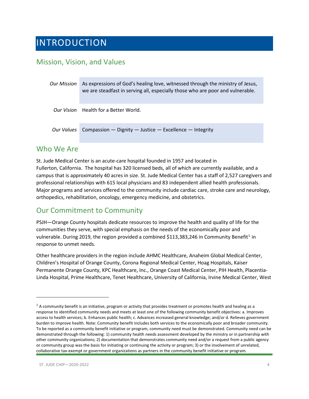## <span id="page-3-0"></span>INTRODUCTION

## <span id="page-3-1"></span>Mission, Vision, and Values

| Our Mission | As expressions of God's healing love, witnessed through the ministry of Jesus,<br>we are steadfast in serving all, especially those who are poor and vulnerable. |  |  |
|-------------|------------------------------------------------------------------------------------------------------------------------------------------------------------------|--|--|
|             | Our Vision Health for a Better World.                                                                                                                            |  |  |
| Our Values  | Compassion $-$ Dignity $-$ Justice $-$ Excellence $-$ Integrity                                                                                                  |  |  |

### <span id="page-3-2"></span>Who We Are

St. Jude Medical Center is an acute-care hospital founded in 1957 and located in Fullerton, California. The hospital has 320 licensed beds, all of which are currently available, and a campus that is approximately 40 acres in size. St. Jude Medical Center has a staff of 2,527 caregivers and professional relationships with 615 local physicians and 83 independent allied health professionals. Major programs and services offered to the community include cardiac care, stroke care and neurology, orthopedics, rehabilitation, oncology, emergency medicine, and obstetrics.

## <span id="page-3-3"></span>Our Commitment to Community

PSJH—Orange County hospitals dedicate resources to improve the health and quality of life for the communities they serve, with special emphasis on the needs of the economically poor and vulnerable. During 20[1](#page-3-4)9, the region provided a combined \$113,383,246 in Community Benefit<sup>1</sup> in response to unmet needs.

Other healthcare providers in the region include AHMC Healthcare, Anaheim Global Medical Center, Children's Hospital of Orange County, Corona Regional Medical Center, Hoag Hospitals, Kaiser Permanente Orange County, KPC Healthcare, Inc., Orange Coast Medical Center, PIH Health, Placentia-Linda Hospital, Prime Healthcare, Tenet Healthcare, University of California, Irvine Medical Center, West

<span id="page-3-4"></span> $1$  A community benefit is an initiative, program or activity that provides treatment or promotes health and healing as a response to identified community needs and meets at least one of the following community benefit objectives: a. Improves access to health services; b. Enhances public health; c. Advances increased general knowledge; and/or d. Relieves government burden to improve health. Note: Community benefit includes both services to the economically poor and broader community. To be reported as a community benefit initiative or program, community need must be demonstrated. Community need can be demonstrated through the following: 1) community health needs assessment developed by the ministry or in partnership with other community organizations; 2) documentation that demonstrates community need and/or a request from a public agency or community group was the basis for initiating or continuing the activity or program; 3) or the involvement of unrelated, collaborative tax-exempt or government organizations as partners in the community benefit initiative or program.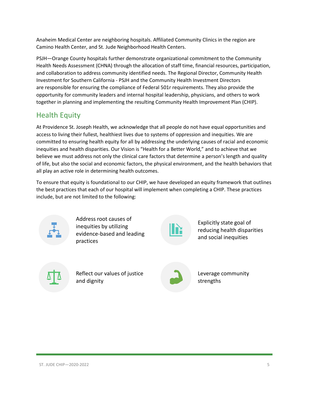Anaheim Medical Center are neighboring hospitals. Affiliated Community Clinics in the region are Camino Health Center, and St. Jude Neighborhood Health Centers.

PSJH—Orange County hospitals further demonstrate organizational commitment to the Community Health Needs Assessment (CHNA) through the allocation of staff time, financial resources, participation, and collaboration to address community identified needs. The Regional Director, Community Health Investment for Southern California - PSJH and the Community Health Investment Directors are responsible for ensuring the compliance of Federal 501r requirements. They also provide the opportunity for community leaders and internal hospital leadership, physicians, and others to work together in planning and implementing the resulting Community Health Improvement Plan (CHIP).

### <span id="page-4-0"></span>Health Equity

At Providence St. Joseph Health, we acknowledge that all people do not have equal opportunities and access to living their fullest, healthiest lives due to systems of oppression and inequities. We are committed to ensuring health equity for all by addressing the underlying causes of racial and economic inequities and health disparities. Our Vision is "Health for a Better World," and to achieve that we believe we must address not only the clinical care factors that determine a person's length and quality of life, but also the social and economic factors, the physical environment, and the health behaviors that all play an active role in determining health outcomes.

To ensure that equity is foundational to our CHIP, we have developed an equity framework that outlines the best practices that each of our hospital will implement when completing a CHIP. These practices include, but are not limited to the following:



Address root causes of inequities by utilizing evidence-based and leading practices



Explicitly state goal of reducing health disparities and social inequities



Reflect our values of justice and dignity



Leverage community strengths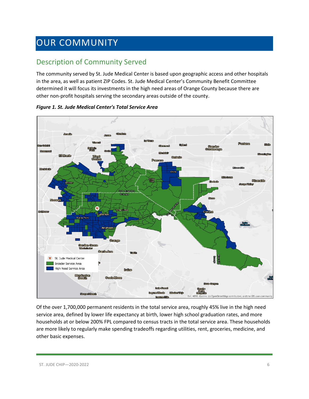## <span id="page-5-0"></span>OUR COMMUNITY

## <span id="page-5-1"></span>Description of Community Served

The community served by St. Jude Medical Center is based upon geographic access and other hospitals in the area, as well as patient ZIP Codes. St. Jude Medical Center's Community Benefit Committee determined it will focus its investments in the high need areas of Orange County because there are other non-profit hospitals serving the secondary areas outside of the county.



*Figure 1. St. Jude Medical Center's Total Service Area*

Of the over 1,700,000 permanent residents in the total service area, roughly 45% live in the high need service area, defined by lower life expectancy at birth, lower high school graduation rates, and more households at or below 200% FPL compared to census tracts in the total service area. These households are more likely to regularly make spending tradeoffs regarding utilities, rent, groceries, medicine, and other basic expenses.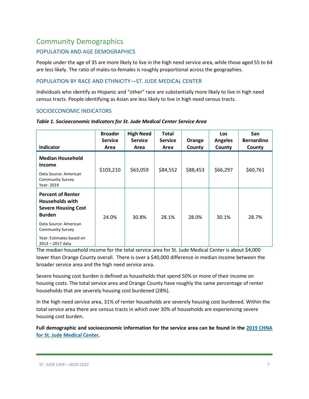## <span id="page-6-0"></span>Community Demographics

#### POPULATION AND AGE DEMOGRAPHICS

People under the age of 35 are more likely to live in the high need service area, while those aged 55 to 64 are less likely. The ratio of males-to-females is roughly proportional across the geographies.

#### POPULATION BY RACE AND ETHNICITY—ST. JUDE MEDICAL CENTER

Individuals who identify as Hispanic and "other" race are substantially more likely to live in high need census tracts. People identifying as Asian are less likely to live in high need census tracts.

#### SOCIOECONOMIC INDICATORS

| <b>Indicator</b>                                                                                                                                                                                      | <b>Broader</b><br><b>Service</b><br>Area | <b>High Need</b><br><b>Service</b><br>Area | Total<br><b>Service</b><br>Area | Orange<br>County | <b>Los</b><br><b>Angeles</b><br>County | San<br><b>Bernardino</b><br>County |
|-------------------------------------------------------------------------------------------------------------------------------------------------------------------------------------------------------|------------------------------------------|--------------------------------------------|---------------------------------|------------------|----------------------------------------|------------------------------------|
| <b>Median Household</b><br><b>Income</b><br>Data Source: American<br><b>Community Survey</b><br>Year: 2019                                                                                            | \$103,210                                | \$63,059                                   | \$84,552                        | \$88,453         | \$66,297                               | \$60,761                           |
| <b>Percent of Renter</b><br><b>Households with</b><br><b>Severe Housing Cost</b><br><b>Burden</b><br>Data Source: American<br><b>Community Survey</b><br>Year: Estimates based on<br>2013 - 2017 data | 24.0%                                    | 30.8%                                      | 28.1%                           | 28.0%            | 30.1%                                  | 28.7%                              |

#### *Table 1. Socioeconomic Indicators for St. Jude Medical Center Service Area*

The median household income for the total service area for St. Jude Medical Center is about \$4,000 lower than Orange County overall. There is over a \$40,000 difference in median income between the broader service area and the high need service area.

Severe housing cost burden is defined as households that spend 50% or more of their income on housing costs. The total service area and Orange County have roughly the same percentage of renter households that are severely housing cost burdened (28%).

In the high need service area, 31% of renter households are severely housing cost burdened. Within the total service area there are census tracts in which over 30% of households are experiencing severe housing cost burden.

**Full demographic and socioeconomic information for the service area can be found in the [2019 CHNA](https://www.providence.org/-/media/Project/psjh/providence/socal/Files/about/community-benefit/reports/2019chna-orangecounty.pdf?la=en&hash=1EFA38ECAF5E0C2A9CFBA76694525C43)  [for St. Jude Medical Center.](https://www.providence.org/-/media/Project/psjh/providence/socal/Files/about/community-benefit/reports/2019chna-orangecounty.pdf?la=en&hash=1EFA38ECAF5E0C2A9CFBA76694525C43)**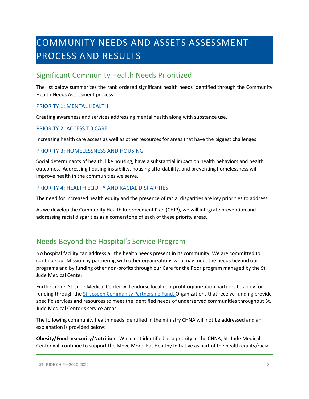## <span id="page-7-0"></span>COMMUNITY NEEDS AND ASSETS ASSESSMENT PROCESS AND RESULTS

## <span id="page-7-1"></span>Significant Community Health Needs Prioritized

The list below summarizes the rank ordered significant health needs identified through the Community Health Needs Assessment process:

#### PRIORITY 1: MENTAL HEALTH

Creating awareness and services addressing mental health along with substance use.

#### PRIORITY 2: ACCESS TO CARE

Increasing health care access as well as other resources for areas that have the biggest challenges.

#### PRIORITY 3: HOMELESSNESS AND HOUSING

Social determinants of health, like housing, have a substantial impact on health behaviors and health outcomes. Addressing housing instability, housing affordability, and preventing homelessness will improve health in the communities we serve.

#### PRIORITY 4: HEALTH EQUITY AND RACIAL DISPARITIES

The need for increased health equity and the presence of racial disparities are key priorities to address.

As we develop the Community Health Improvement Plan (CHIP), we will integrate prevention and addressing racial disparities as a cornerstone of each of these priority areas.

## <span id="page-7-2"></span>Needs Beyond the Hospital's Service Program

No hospital facility can address all the health needs present in its community. We are committed to continue our Mission by partnering with other organizations who may meet the needs beyond our programs and by funding other non-profits through our Care for the Poor program managed by the St. Jude Medical Center.

Furthermore, St. Jude Medical Center will endorse local non-profit organization partners to apply for funding through the [St. Joseph Community Partnership Fund. O](http://www.stjhs.org/SJH-Programs/SJH-Community-Partnership-Fund.aspx)rganizations that receive funding provide specific services and resources to meet the identified needs of underserved communities throughout St. Jude Medical Center's service areas.

The following community health needs identified in the ministry CHNA will not be addressed and an explanation is provided below:

**Obesity/Food Insecurity/Nutrition**: While not identified as a priority in the CHNA, St. Jude Medical Center will continue to support the Move More, Eat Healthy Initiative as part of the health equity/racial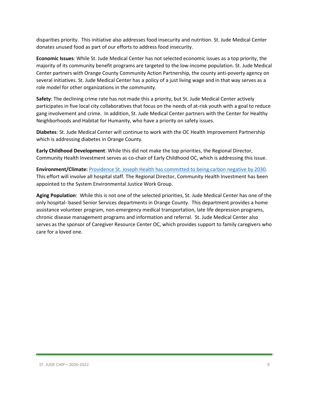disparities priority. This initiative also addresses food insecurity and nutrition. St. Jude Medical Center donates unused food as part of our efforts to address food insecurity.

**Economic Issues**: While St. Jude Medical Center has not selected economic issues as a top priority, the majority of its community benefit programs are targeted to the low-income population. St. Jude Medical Center partners with Orange County Community Action Partnership, the county anti-poverty agency on several initiatives. St. Jude Medical Center has a policy of a just living wage and in that way serves as a role model for other organizations in the community.

**Safety**: The declining crime rate has not made this a priority, but St. Jude Medical Center actively participates in five local city collaboratives that focus on the needs of at-risk youth with a goal to reduce gang involvement and crime. In addition, St. Jude Medical Center partners with the Center for Healthy Neighborhoods and Habitat for Humanity, who have a priority on safety issues.

**Diabetes**: St. Jude Medical Center will continue to work with the OC Health Improvement Partnership which is addressing diabetes in Orange County.

**Early Childhood Development**: While this did not make the top priorities, the Regional Director, Community Health Investment serves as co-chair of Early Childhood OC, which is addressing this issue.

**Environment/Climate:** [Providence St. Joseph Health has committed to being carbon negative by 2030.](https://www.providence.org/about/community-partnerships/work-we-do/government-affairs-and-social-responsibility/environmental-stewardship/our-commitment-to-environmental-transformation) This effort will involve all hospital staff. The Regional Director, Community Health Investment has been appointed to the System Environmental Justice Work Group.

**Aging Population**: While this is not one of the selected priorities, St. Jude Medical Center has one of the only hospital- based Senior Services departments in Orange County. This department provides a home assistance volunteer program, non-emergency medical transportation, late life depression programs, chronic disease management programs and information and referral. St. Jude Medical Center also serves as the sponsor of Caregiver Resource Center OC, which provides support to family caregivers who care for a loved one.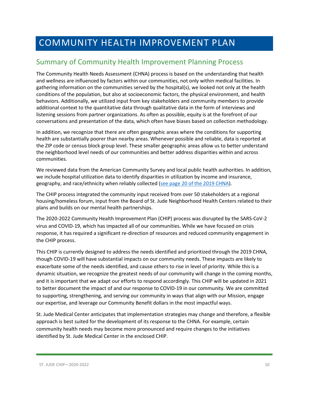## <span id="page-9-0"></span>COMMUNITY HEALTH IMPROVEMENT PLAN

## <span id="page-9-1"></span>Summary of Community Health Improvement Planning Process

The Community Health Needs Assessment (CHNA) process is based on the understanding that health and wellness are influenced by factors within our communities, not only within medical facilities. In gathering information on the communities served by the hospital(s), we looked not only at the health conditions of the population, but also at socioeconomic factors, the physical environment, and health behaviors. Additionally, we utilized input from key stakeholders and community members to provide additional context to the quantitative data through qualitative data in the form of interviews and listening sessions from partner organizations. As often as possible, equity is at the forefront of our conversations and presentation of the data, which often have biases based on collection methodology.

In addition, we recognize that there are often geographic areas where the conditions for supporting health are substantially poorer than nearby areas. Whenever possible and reliable, data is reported at the ZIP code or census block group level. These smaller geographic areas allow us to better understand the neighborhood level needs of our communities and better address disparities within and across communities.

We reviewed data from the American Community Survey and local public health authorities. In addition, we include hospital utilization data to identify disparities in utilization by income and insurance, geography, and race/ethnicity when reliably collected (see page 20 of the 2019 CHNA).

The CHIP process integrated the community input received from over 50 stakeholders at a regional housing/homeless forum, input from the Board of St. Jude Neighborhood Health Centers related to their plans and builds on our mental health partnerships.

The 2020-2022 Community Health Improvement Plan (CHIP) process was disrupted by the SARS-CoV-2 virus and COVID-19, which has impacted all of our communities. While we have focused on crisis response, it has required a significant re-direction of resources and reduced community engagement in the CHIP process.

This CHIP is currently designed to address the needs identified and prioritized through the 2019 CHNA, though COVID-19 will have substantial impacts on our community needs. These impacts are likely to exacerbate some of the needs identified, and cause others to rise in level of priority. While this is a dynamic situation, we recognize the greatest needs of our community will change in the coming months, and it is important that we adapt our efforts to respond accordingly. This CHIP will be updated in 2021 to better document the impact of and our response to COVID-19 in our community. We are committed to supporting, strengthening, and serving our community in ways that align with our Mission, engage our expertise, and leverage our Community Benefit dollars in the most impactful ways.

St. Jude Medical Center anticipates that implementation strategies may change and therefore, a flexible approach is best suited for the development of its response to the CHNA. For example, certain community health needs may become more pronounced and require changes to the initiatives identified by St. Jude Medical Center in the enclosed CHIP.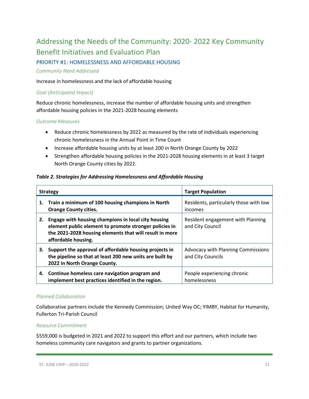## <span id="page-10-0"></span>Addressing the Needs of the Community: 2020- 2022 Key Community Benefit Initiatives and Evaluation Plan

#### PRIORITY #1: HOMELESSNESS AND AFFORDABLE HOUSING

#### *Community Need Addressed*

Increase in homelessness and the lack of affordable housing

#### *Goal (Anticipated Impact)*

Reduce chronic homelessness, increase the number of affordable housing units and strengthen affordable housing policies in the 2021-2028 housing elements

#### *Outcome Measures*

- Reduce chronic homelessness by 2022 as measured by the rate of individuals experiencing chronic homelessness in the Annual Point in Time Count
- Increase affordable housing units by at least 200 in North Orange County by 2022
- Strengthen affordable housing policies in the 2021-2028 housing elements in at least 3 target North Orange County cities by 2022.

#### *Table 2. Strategies for Addressing Homelessness and Affordable Housing*

|    | <b>Strategy</b>                                                                                                                                                                                 | <b>Target Population</b>                                       |
|----|-------------------------------------------------------------------------------------------------------------------------------------------------------------------------------------------------|----------------------------------------------------------------|
| 1. | Train a minimum of 100 housing champions in North<br><b>Orange County cities.</b>                                                                                                               | Residents, particularly those with low<br>incomes              |
| 2. | Engage with housing champions in local city housing<br>element public element to promote stronger policies in<br>the 2021-2028 housing elements that will result in more<br>affordable housing. | Resident engagement with Planning<br>and City Council          |
| 3. | Support the approval of affordable housing projects in<br>the pipeline so that at least 200 new units are built by<br>2022 in North Orange County.                                              | <b>Advocacy with Planning Commissions</b><br>and City Councils |
|    | 4. Continue homeless care navigation program and<br>implement best practices identified in the region.                                                                                          | People experiencing chronic<br>homelessness                    |

#### *Planned Collaboration*

Collaborative partners include the Kennedy Commission; United Way OC; YIMBY, Habitat for Humanity, Fullerton Tri-Parish Council

#### *Resource Commitment*

\$559,000 is budgeted in 2021 and 2022 to support this effort and our partners, which include two homeless community care navigators and grants to partner organizations.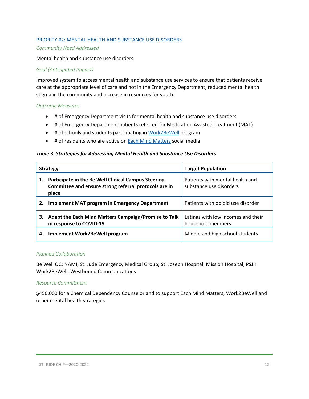#### PRIORITY #2: MENTAL HEALTH AND SUBSTANCE USE DISORDERS

#### *Community Need Addressed*

Mental health and substance use disorders

#### *Goal (Anticipated Impact)*

Improved system to access mental health and substance use services to ensure that patients receive care at the appropriate level of care and not in the Emergency Department, reduced mental health stigma in the community and increase in resources for youth.

#### *Outcome Measures*

- # of Emergency Department visits for mental health and substance use disorders
- # of Emergency Department patients referred for Medication Assisted Treatment (MAT)
- # of schools and students participating i[n Work2BeWell](https://work2bewell.org/) program
- # of residents who are active o[n Each Mind Matters](https://www.eachmindmatters.org/) social media

#### *Table 3. Strategies for Addressing Mental Health and Substance Use Disorders*

|    | <b>Strategy</b>                                                                                                       | <b>Target Population</b>                                   |  |
|----|-----------------------------------------------------------------------------------------------------------------------|------------------------------------------------------------|--|
| 1. | Participate in the Be Well Clinical Campus Steering<br>Committee and ensure strong referral protocols are in<br>place | Patients with mental health and<br>substance use disorders |  |
| 2. | <b>Implement MAT program in Emergency Department</b>                                                                  | Patients with opioid use disorder                          |  |
| З. | Adapt the Each Mind Matters Campaign/Promise to Talk<br>in response to COVID-19                                       | Latinas with low incomes and their<br>household members    |  |
| 4. | Implement Work2BeWell program                                                                                         | Middle and high school students                            |  |

#### *Planned Collaboration*

Be Well OC; NAMI, St. Jude Emergency Medical Group; St. Joseph Hospital; Mission Hospital; PSJH Work2BeWell; Westbound Communications

#### *Resource Commitment*

\$450,000 for a Chemical Dependency Counselor and to support Each Mind Matters, Work2BeWell and other mental health strategies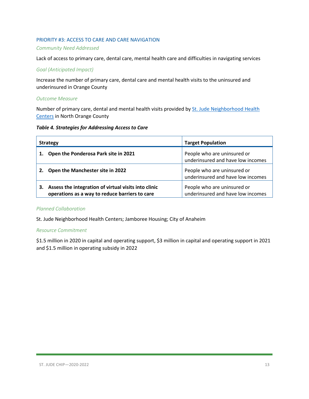#### PRIORITY #3: ACCESS TO CARE AND CARE NAVIGATION

#### *Community Need Addressed*

Lack of access to primary care, dental care, mental health care and difficulties in navigating services

#### *Goal (Anticipated Impact)*

Increase the number of primary care, dental care and mental health visits to the uninsured and underinsured in Orange County

#### *Outcome Measure*

Number of primary care, dental and mental health visits provided by St. Jude Neighborhood Health [Centers](http://www.stjudenhc.com/) in North Orange County

#### *Table 4. Strategies for Addressing Access to Care*

| <b>Strategy</b>                                                                                              | <b>Target Population</b>                                         |  |
|--------------------------------------------------------------------------------------------------------------|------------------------------------------------------------------|--|
| Open the Ponderosa Park site in 2021                                                                         | People who are uninsured or<br>underinsured and have low incomes |  |
| Open the Manchester site in 2022<br>2.                                                                       | People who are uninsured or<br>underinsured and have low incomes |  |
| Assess the integration of virtual visits into clinic<br>3.<br>operations as a way to reduce barriers to care | People who are uninsured or<br>underinsured and have low incomes |  |

#### *Planned Collaboration*

St. Jude Neighborhood Health Centers; Jamboree Housing; City of Anaheim

#### *Resource Commitment*

\$1.5 million in 2020 in capital and operating support, \$3 million in capital and operating support in 2021 and \$1.5 million in operating subsidy in 2022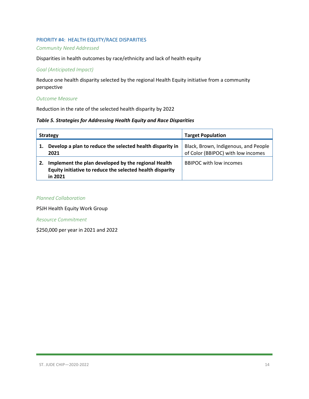#### PRIORITY #4: HEALTH EQUITY/RACE DISPARITIES

#### *Community Need Addressed*

Disparities in health outcomes by race/ethnicity and lack of health equity

#### *Goal (Anticipated Impact)*

Reduce one health disparity selected by the regional Health Equity initiative from a community perspective

#### *Outcome Measure*

Reduction in the rate of the selected health disparity by 2022

#### *Table 5. Strategies for Addressing Health Equity and Race Disparities*

| <b>Strategy</b>                                                                                                             | <b>Target Population</b>                                                   |
|-----------------------------------------------------------------------------------------------------------------------------|----------------------------------------------------------------------------|
| Develop a plan to reduce the selected health disparity in<br>2021                                                           | Black, Brown, Indigenous, and People<br>of Color (BBIPOC) with low incomes |
| Implement the plan developed by the regional Health<br>Equity initiative to reduce the selected health disparity<br>in 2021 | <b>BBIPOC with low incomes</b>                                             |

#### *Planned Collaboration*

PSJH Health Equity Work Group

*Resource Commitment*

\$250,000 per year in 2021 and 2022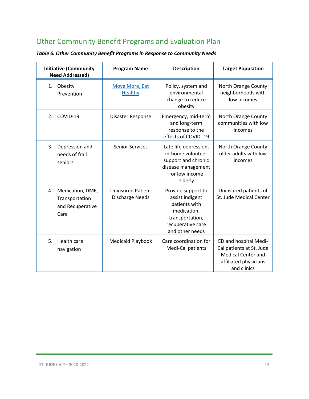## <span id="page-14-0"></span>Other Community Benefit Programs and Evaluation Plan

| <b>Initiative (Community</b><br><b>Need Addressed)</b>               | <b>Program Name</b>                                | <b>Description</b>                                                                                                               | <b>Target Population</b>                                                                                               |
|----------------------------------------------------------------------|----------------------------------------------------|----------------------------------------------------------------------------------------------------------------------------------|------------------------------------------------------------------------------------------------------------------------|
| Obesity<br>1.<br>Prevention                                          | <b>Move More, Eat</b><br>Healthy                   | Policy, system and<br>environmental<br>change to reduce<br>obesity                                                               | North Orange County<br>neighborhoods with<br>low incomes                                                               |
| COVID-19<br>2.                                                       | Disaster Response                                  | Emergency, mid-term<br>and long-term<br>response to the<br>effects of COVID-19                                                   | North Orange County<br>communities with low<br>incomes                                                                 |
| 3.<br>Depression and<br>needs of frail<br>seniors                    | <b>Senior Services</b>                             | Late life depression,<br>in-home volunteer<br>support and chronic<br>disease management<br>for low income<br>elderly             | North Orange County<br>older adults with low<br>incomes                                                                |
| Medication, DME,<br>4.<br>Transportation<br>and Recuperative<br>Care | <b>Uninsured Patient</b><br><b>Discharge Needs</b> | Provide support to<br>assist indigent<br>patients with<br>medication,<br>transportation,<br>recuperative care<br>and other needs | Uninsured patients of<br>St. Jude Medical Center                                                                       |
| Health care<br>5.<br>navigation                                      | Medicaid Playbook                                  | Care coordination for<br>Medi-Cal patients                                                                                       | ED and hospital Medi-<br>Cal patients at St. Jude<br><b>Medical Center and</b><br>affiliated physicians<br>and clinics |

*Table 6. Other Community Benefit Programs in Response to Community Needs*